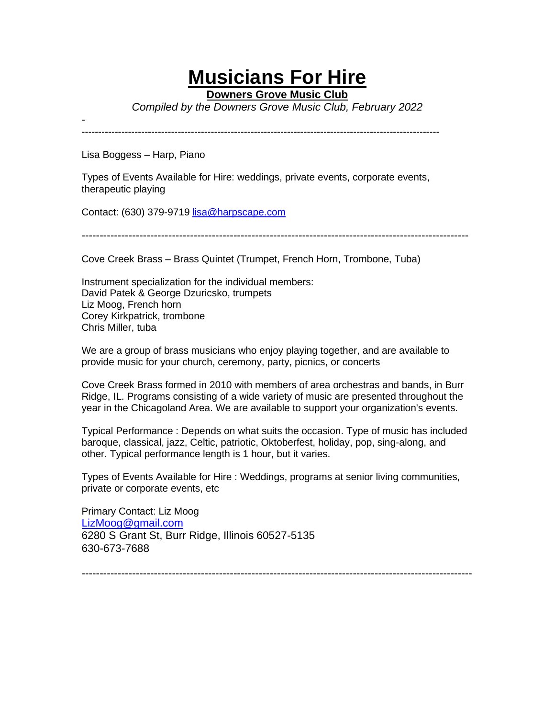## **Musicians For Hire**

**Downers Grove Music Club**

*Compiled by the Downers Grove Music Club, February 2022*

- ------------------------------------------------------------------------------------------------------------

Lisa Boggess – Harp, Piano

Types of Events Available for Hire: weddings, private events, corporate events, therapeutic playing

Contact: (630) 379-9719 lisa@harpscape.com

-----------------------------------------------------------------------------------------------------------

Cove Creek Brass – Brass Quintet (Trumpet, French Horn, Trombone, Tuba)

Instrument specialization for the individual members: David Patek & George Dzuricsko, trumpets Liz Moog, French horn Corey Kirkpatrick, trombone Chris Miller, tuba

We are a group of brass musicians who enjoy playing together, and are available to provide music for your church, ceremony, party, picnics, or concerts

Cove Creek Brass formed in 2010 with members of area orchestras and bands, in Burr Ridge, IL. Programs consisting of a wide variety of music are presented throughout the year in the Chicagoland Area. We are available to support your organization's events.

Typical Performance : Depends on what suits the occasion. Type of music has included baroque, classical, jazz, Celtic, patriotic, Oktoberfest, holiday, pop, sing-along, and other. Typical performance length is 1 hour, but it varies.

Types of Events Available for Hire : Weddings, programs at senior living communities, private or corporate events, etc

Primary Contact: Liz Moog LizMoog@gmail.com 6280 S Grant St, Burr Ridge, Illinois 60527-5135 630-673-7688

------------------------------------------------------------------------------------------------------------